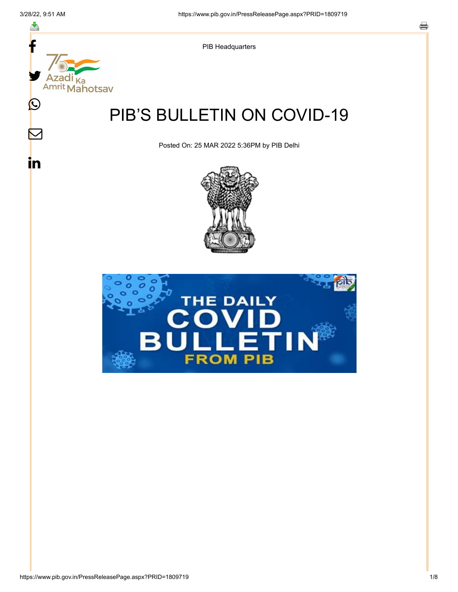스

 $\boldsymbol{\mathsf{M}}$ 

in



PIB Headquarters

# PIB'S BULLETIN ON COVID-19

Posted On: 25 MAR 2022 5:36PM by PIB Delhi



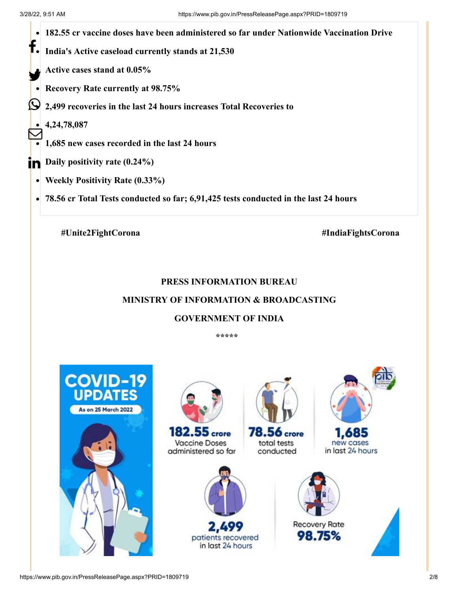

**78.56 cr Total Tests conducted so far; 6,91,425 tests conducted in the last 24 hours**

**#Unite2FightCorona #IndiaFightsCorona**

## **PRESS INFORMATION BUREAU**

## **MINISTRY OF INFORMATION & BROADCASTING**

#### **GOVERNMENT OF INDIA**

**\*\*\*\*\*** 

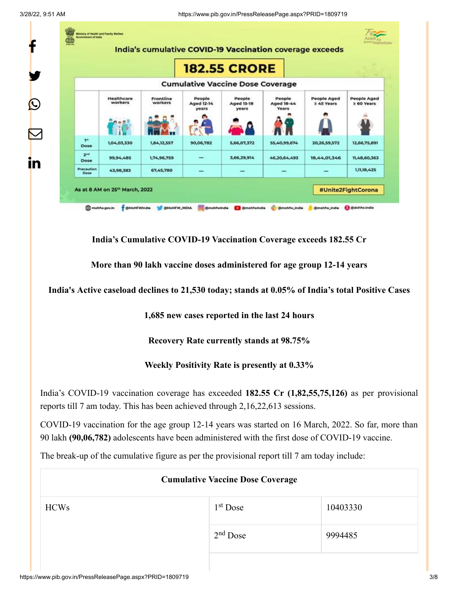3/28/22, 9:51 AM https://www.pib.gov.in/PressReleasePage.aspx?PRID=1809719



**India's Cumulative COVID-19 Vaccination Coverage exceeds 182.55 Cr**

**More than 90 lakh vaccine doses administered for age group 12-14 years**

**India's Active caseload declines to 21,530 today; stands at 0.05% of India's total Positive Cases**

**1,685 new cases reported in the last 24 hours**

**Recovery Rate currently stands at 98.75%**

**Weekly Positivity Rate is presently at 0.33%**

India's COVID-19 vaccination coverage has exceeded **182.55 Cr (1,82,55,75,126)** as per provisional reports till 7 am today. This has been achieved through 2,16,22,613 sessions.

COVID-19 vaccination for the age group 12-14 years was started on 16 March, 2022. So far, more than 90 lakh **(90,06,782)** adolescents have been administered with the first dose of COVID-19 vaccine.

The break-up of the cumulative figure as per the provisional report till 7 am today include:

|             | <b>Cumulative Vaccine Dose Coverage</b> |          |
|-------------|-----------------------------------------|----------|
| <b>HCWs</b> | $1st$ Dose                              | 10403330 |
|             | $2nd$ Dose                              | 9994485  |
|             |                                         |          |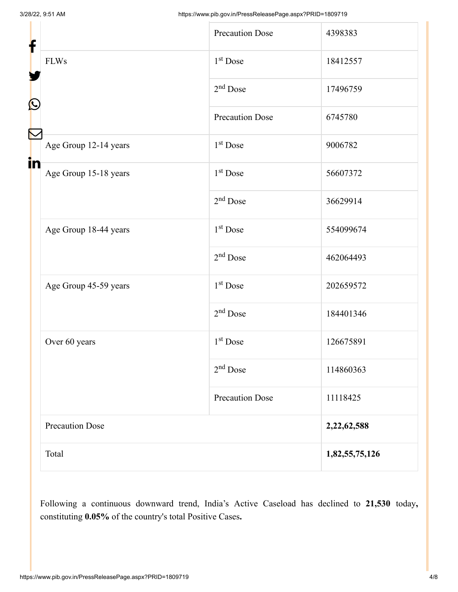| f  |                        | <b>Precaution Dose</b> | 4398383        |
|----|------------------------|------------------------|----------------|
|    | <b>FLWs</b>            | 1 <sup>st</sup> Dose   | 18412557       |
| C  |                        | $2nd$ Dose             | 17496759       |
|    |                        | <b>Precaution Dose</b> | 6745780        |
|    | Age Group 12-14 years  | 1 <sup>st</sup> Dose   | 9006782        |
| in | Age Group 15-18 years  | 1 <sup>st</sup> Dose   | 56607372       |
|    |                        | $2nd$ Dose             | 36629914       |
|    | Age Group 18-44 years  | $1st$ Dose             | 554099674      |
|    |                        | $2nd$ Dose             | 462064493      |
|    | Age Group 45-59 years  | 1 <sup>st</sup> Dose   | 202659572      |
|    |                        | $2nd$ Dose             | 184401346      |
|    | Over 60 years          | 1 <sup>st</sup> Dose   | 126675891      |
|    |                        | $2nd$ Dose             | 114860363      |
|    |                        | <b>Precaution Dose</b> | 11118425       |
|    | <b>Precaution Dose</b> |                        | 2,22,62,588    |
|    | Total                  |                        | 1,82,55,75,126 |

Following a continuous downward trend, India's Active Caseload has declined to **21,530** today**,** constituting **0.05%** of the country's total Positive Cases**.**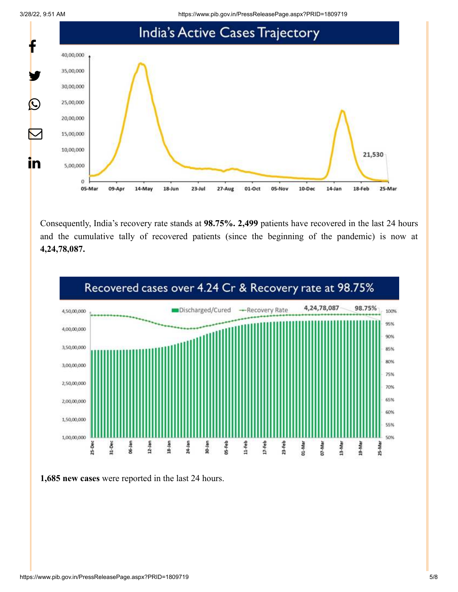3/28/22, 9:51 AM https://www.pib.gov.in/PressReleasePage.aspx?PRID=1809719



Consequently, India's recovery rate stands at **98.75%. 2,499** patients have recovered in the last 24 hours and the cumulative tally of recovered patients (since the beginning of the pandemic) is now at **4,24,78,087.**



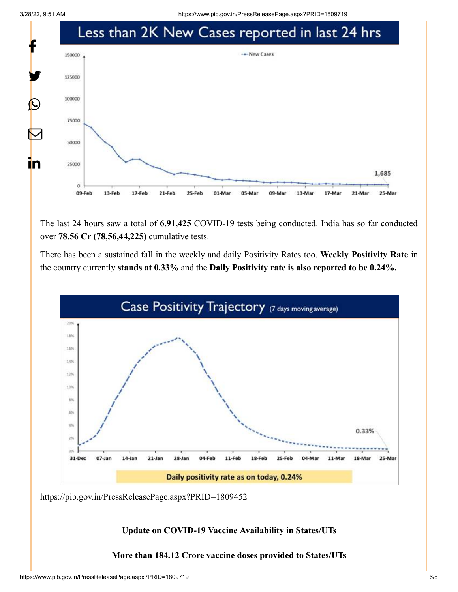3/28/22, 9:51 AM https://www.pib.gov.in/PressReleasePage.aspx?PRID=1809719



The last 24 hours saw a total of **6,91,425** COVID-19 tests being conducted. India has so far conducted over **78.56 Cr (78,56,44,225**) cumulative tests.

There has been a sustained fall in the weekly and daily Positivity Rates too. **Weekly Positivity Rate** in the country currently **stands at 0.33%** and the **Daily Positivity rate is also reported to be 0.24%.**



<https://pib.gov.in/PressReleasePage.aspx?PRID=1809452>

**Update on COVID-19 Vaccine Availability in States/UTs**

**More than 184.12 Crore vaccine doses provided to States/UTs**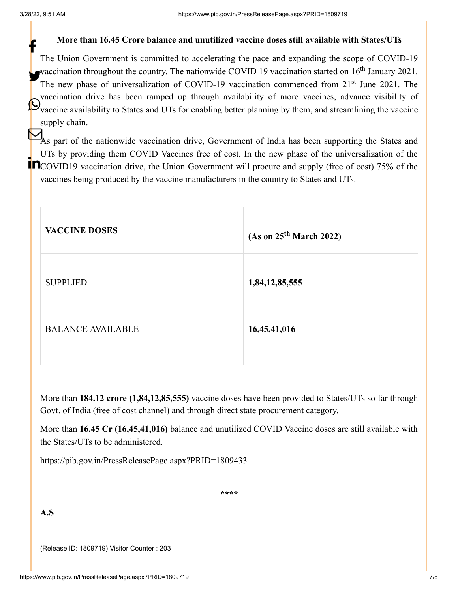### **More than 16.45 Crore balance and unutilized vaccine doses still available with States/UTs**

The Union Government is committed to accelerating the pace and expanding the scope of COVID-19 vaccination throughout the country. The nationwide COVID 19 vaccination started on  $16<sup>th</sup>$  January 2021. The new phase of universalization of COVID-19 vaccination commenced from 21<sup>st</sup> June 2021. The vaccination drive has been ramped up through availability of more vaccines, advance visibility of Waccine availability to States and UTs for enabling better planning by them, and streamlining the vaccine supply chain. f

As part of the nationwide vaccination drive, Government of India has been supporting the States and UTs by providing them COVID Vaccines free of cost. In the new phase of the universalization of the COVID19 vaccination drive, the Union Government will procure and supply (free of cost) 75% of the vaccines being produced by the vaccine manufacturers in the country to States and UTs.

| <b>VACCINE DOSES</b>     | (As on 25 <sup>th</sup> March 2022) |
|--------------------------|-------------------------------------|
| <b>SUPPLIED</b>          | 1,84,12,85,555                      |
| <b>BALANCE AVAILABLE</b> | 16,45,41,016                        |

More than **184.12 crore (1,84,12,85,555)** vaccine doses have been provided to States/UTs so far through Govt. of India (free of cost channel) and through direct state procurement category.

More than **16.45 Cr (16,45,41,016)** balance and unutilized COVID Vaccine doses are still available with the States/UTs to be administered.

<https://pib.gov.in/PressReleasePage.aspx?PRID=1809433>

**\*\*\*\***

**A.S**

(Release ID: 1809719) Visitor Counter : 203